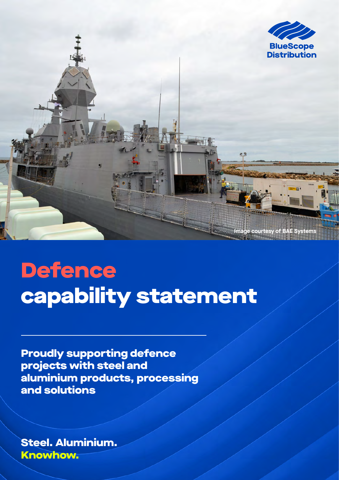

**Defence** capability statement

Proudly supporting defence projects with steel and aluminium products, processing and solutions

Steel. Aluminium. Knowhow.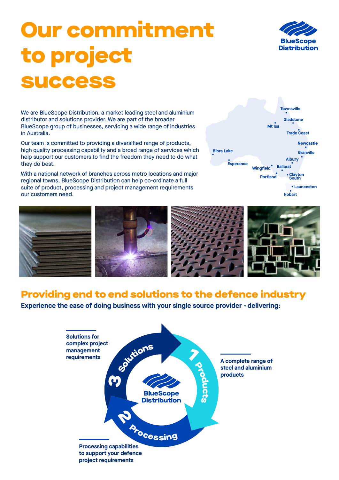# Our commitment to project success



We are BlueScope Distribution, a market leading steel and aluminium distributor and solutions provider. We are part of the broader BlueScope group of businesses, servicing a wide range of industries in Australia.

Our team is committed to providing a diversified range of products, high quality processing capability and a broad range of services which help support our customers to find the freedom they need to do what they do best.

With a national network of branches across metro locations and major regional towns, BlueScope Distribution can help co-ordinate a full suite of product, processing and project management requirements our customers need.



**Hobart Launceston**



### Providing end to end solutions to the defence industry

**Experience the ease of doing business with your single source provider - delivering:**

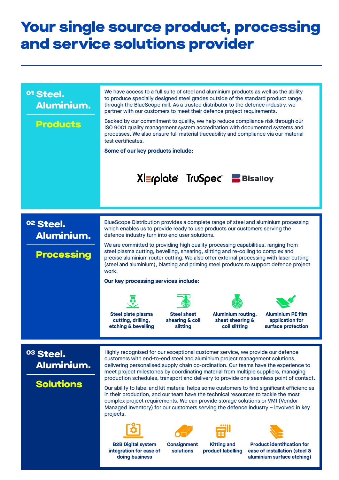# Your single source product, processing and service solutions provider